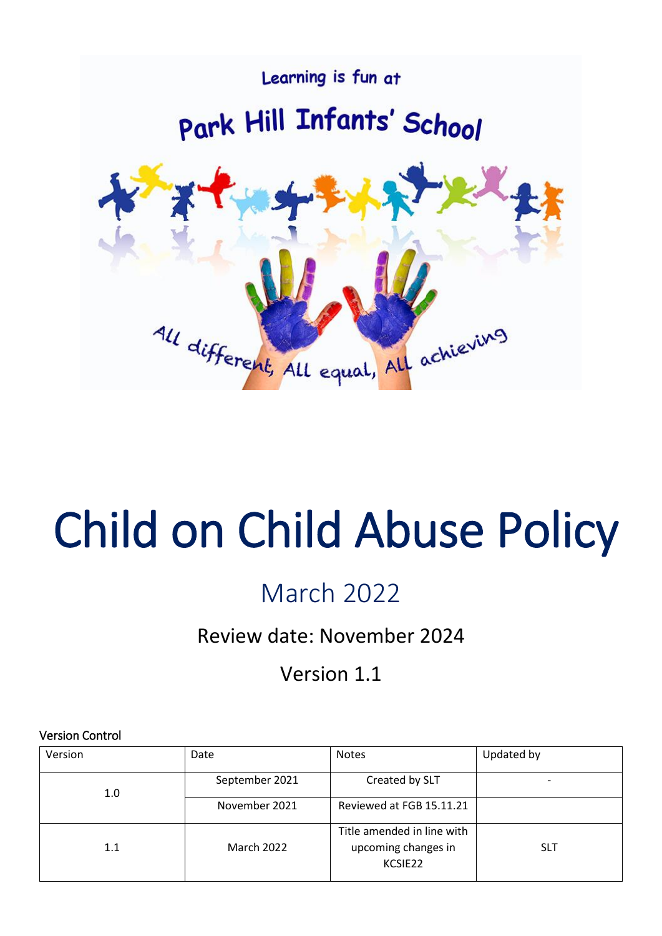

# Child on Child Abuse Policy

# March 2022

# Review date: November 2024

Version 1.1

# Version Control

| Version | Date              | <b>Notes</b>                                                 | Updated by |
|---------|-------------------|--------------------------------------------------------------|------------|
| 1.0     | September 2021    | Created by SLT                                               | -          |
|         | November 2021     | Reviewed at FGB 15.11.21                                     |            |
| 1.1     | <b>March 2022</b> | Title amended in line with<br>upcoming changes in<br>KCSIE22 | <b>SLT</b> |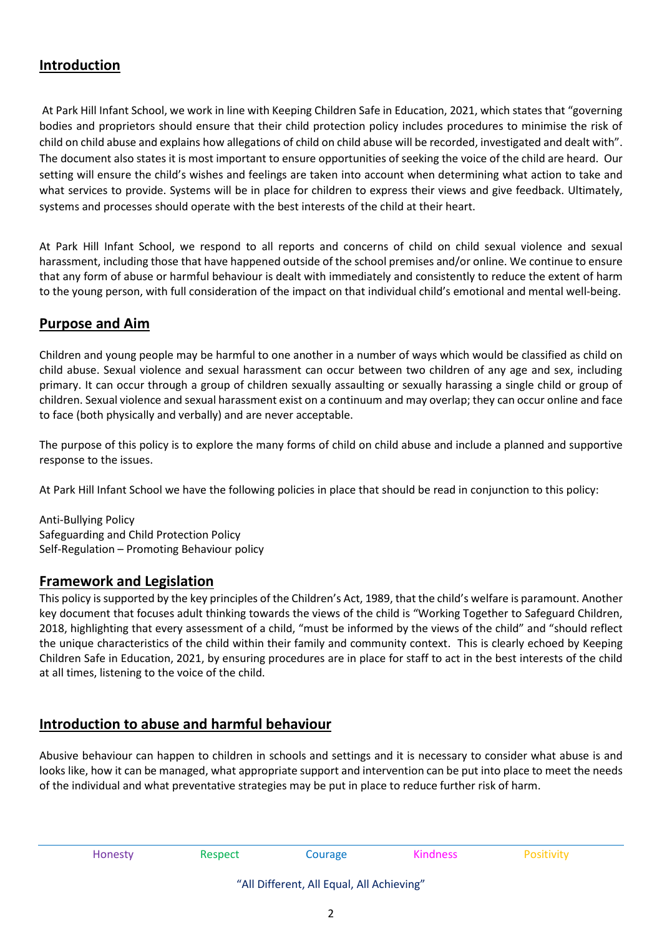# **Introduction**

At Park Hill Infant School, we work in line with Keeping Children Safe in Education, 2021, which states that "governing bodies and proprietors should ensure that their child protection policy includes procedures to minimise the risk of child on child abuse and explains how allegations of child on child abuse will be recorded, investigated and dealt with". The document also states it is most important to ensure opportunities of seeking the voice of the child are heard. Our setting will ensure the child's wishes and feelings are taken into account when determining what action to take and what services to provide. Systems will be in place for children to express their views and give feedback. Ultimately, systems and processes should operate with the best interests of the child at their heart.

At Park Hill Infant School, we respond to all reports and concerns of child on child sexual violence and sexual harassment, including those that have happened outside of the school premises and/or online. We continue to ensure that any form of abuse or harmful behaviour is dealt with immediately and consistently to reduce the extent of harm to the young person, with full consideration of the impact on that individual child's emotional and mental well-being.

# **Purpose and Aim**

Children and young people may be harmful to one another in a number of ways which would be classified as child on child abuse. Sexual violence and sexual harassment can occur between two children of any age and sex, including primary. It can occur through a group of children sexually assaulting or sexually harassing a single child or group of children. Sexual violence and sexual harassment exist on a continuum and may overlap; they can occur online and face to face (both physically and verbally) and are never acceptable.

The purpose of this policy is to explore the many forms of child on child abuse and include a planned and supportive response to the issues.

At Park Hill Infant School we have the following policies in place that should be read in conjunction to this policy:

Anti-Bullying Policy Safeguarding and Child Protection Policy Self-Regulation – Promoting Behaviour policy

## **Framework and Legislation**

This policy issupported by the key principles of the Children's Act, 1989, that the child's welfare is paramount. Another key document that focuses adult thinking towards the views of the child is "Working Together to Safeguard Children, 2018, highlighting that every assessment of a child, "must be informed by the views of the child" and "should reflect the unique characteristics of the child within their family and community context. This is clearly echoed by Keeping Children Safe in Education, 2021, by ensuring procedures are in place for staff to act in the best interests of the child at all times, listening to the voice of the child.

# **Introduction to abuse and harmful behaviour**

Abusive behaviour can happen to children in schools and settings and it is necessary to consider what abuse is and looks like, how it can be managed, what appropriate support and intervention can be put into place to meet the needs of the individual and what preventative strategies may be put in place to reduce further risk of harm.

Honesty **Respect** Courage **Respect** Courage **Right** Rositivity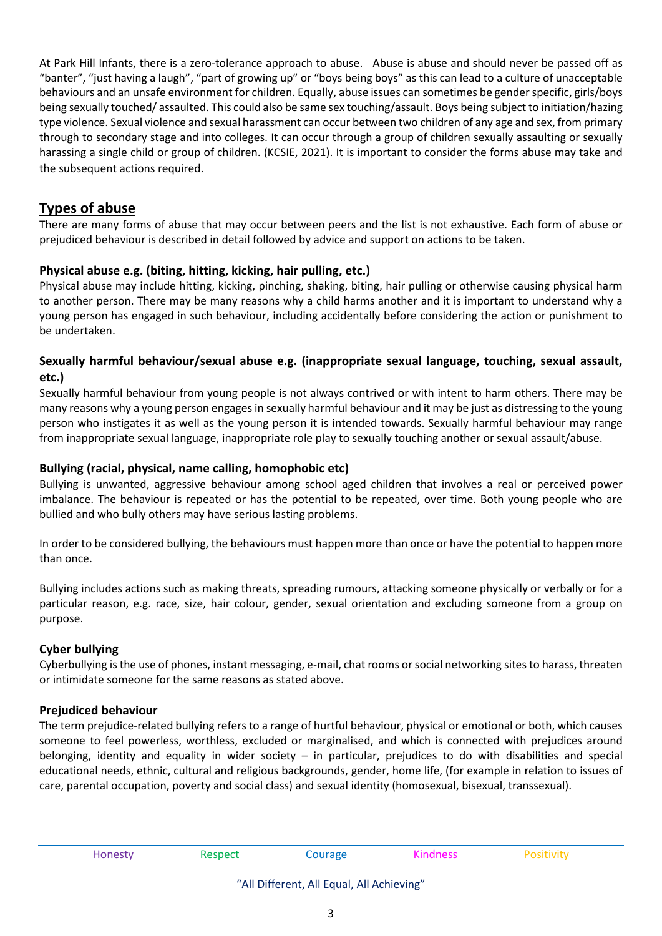At Park Hill Infants, there is a zero-tolerance approach to abuse. Abuse is abuse and should never be passed off as "banter", "just having a laugh", "part of growing up" or "boys being boys" as this can lead to a culture of unacceptable behaviours and an unsafe environment for children. Equally, abuse issues can sometimes be gender specific, girls/boys being sexually touched/ assaulted. This could also be same sex touching/assault. Boys being subject to initiation/hazing type violence. Sexual violence and sexual harassment can occur between two children of any age and sex, from primary through to secondary stage and into colleges. It can occur through a group of children sexually assaulting or sexually harassing a single child or group of children. (KCSIE, 2021). It is important to consider the forms abuse may take and the subsequent actions required.

# **Types of abuse**

There are many forms of abuse that may occur between peers and the list is not exhaustive. Each form of abuse or prejudiced behaviour is described in detail followed by advice and support on actions to be taken.

## **Physical abuse e.g. (biting, hitting, kicking, hair pulling, etc.)**

Physical abuse may include hitting, kicking, pinching, shaking, biting, hair pulling or otherwise causing physical harm to another person. There may be many reasons why a child harms another and it is important to understand why a young person has engaged in such behaviour, including accidentally before considering the action or punishment to be undertaken.

#### **Sexually harmful behaviour/sexual abuse e.g. (inappropriate sexual language, touching, sexual assault, etc.)**

Sexually harmful behaviour from young people is not always contrived or with intent to harm others. There may be many reasons why a young person engages in sexually harmful behaviour and it may be just as distressing to the young person who instigates it as well as the young person it is intended towards. Sexually harmful behaviour may range from inappropriate sexual language, inappropriate role play to sexually touching another or sexual assault/abuse.

#### **Bullying (racial, physical, name calling, homophobic etc)**

Bullying is unwanted, aggressive behaviour among school aged children that involves a real or perceived power imbalance. The behaviour is repeated or has the potential to be repeated, over time. Both young people who are bullied and who bully others may have serious lasting problems.

In order to be considered bullying, the behaviours must happen more than once or have the potential to happen more than once.

Bullying includes actions such as making threats, spreading rumours, attacking someone physically or verbally or for a particular reason, e.g. race, size, hair colour, gender, sexual orientation and excluding someone from a group on purpose.

#### **Cyber bullying**

Cyberbullying is the use of phones, instant messaging, e-mail, chat rooms orsocial networking sites to harass, threaten or intimidate someone for the same reasons as stated above.

#### **Prejudiced behaviour**

The term prejudice-related bullying refers to a range of hurtful behaviour, physical or emotional or both, which causes someone to feel powerless, worthless, excluded or marginalised, and which is connected with prejudices around belonging, identity and equality in wider society – in particular, prejudices to do with disabilities and special educational needs, ethnic, cultural and religious backgrounds, gender, home life, (for example in relation to issues of care, parental occupation, poverty and social class) and sexual identity (homosexual, bisexual, transsexual).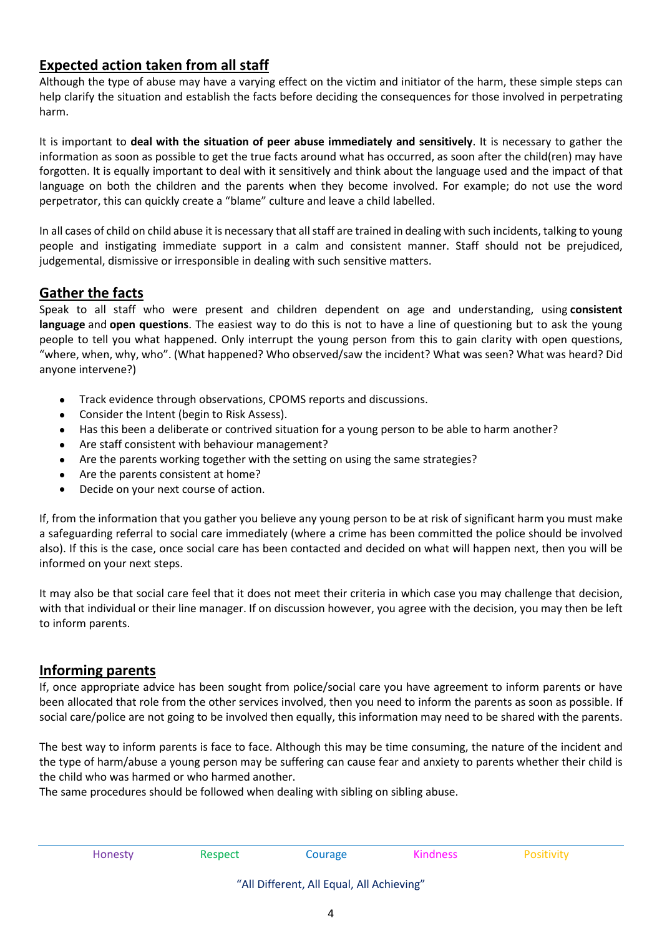# **Expected action taken from all staff**

Although the type of abuse may have a varying effect on the victim and initiator of the harm, these simple steps can help clarify the situation and establish the facts before deciding the consequences for those involved in perpetrating harm.

It is important to **deal with the situation of peer abuse immediately and sensitively**. It is necessary to gather the information as soon as possible to get the true facts around what has occurred, as soon after the child(ren) may have forgotten. It is equally important to deal with it sensitively and think about the language used and the impact of that language on both the children and the parents when they become involved. For example; do not use the word perpetrator, this can quickly create a "blame" culture and leave a child labelled.

In all cases of child on child abuse it is necessary that all staff are trained in dealing with such incidents, talking to young people and instigating immediate support in a calm and consistent manner. Staff should not be prejudiced, judgemental, dismissive or irresponsible in dealing with such sensitive matters.

# **Gather the facts**

Speak to all staff who were present and children dependent on age and understanding, using **consistent language** and **open questions**. The easiest way to do this is not to have a line of questioning but to ask the young people to tell you what happened. Only interrupt the young person from this to gain clarity with open questions, "where, when, why, who". (What happened? Who observed/saw the incident? What was seen? What was heard? Did anyone intervene?)

- Track evidence through observations, CPOMS reports and discussions.
- Consider the Intent (begin to Risk Assess).
- Has this been a deliberate or contrived situation for a young person to be able to harm another?
- Are staff consistent with behaviour management?
- Are the parents working together with the setting on using the same strategies?
- Are the parents consistent at home?
- Decide on your next course of action.

If, from the information that you gather you believe any young person to be at risk of significant harm you must make a safeguarding referral to social care immediately (where a crime has been committed the police should be involved also). If this is the case, once social care has been contacted and decided on what will happen next, then you will be informed on your next steps.

It may also be that social care feel that it does not meet their criteria in which case you may challenge that decision, with that individual or their line manager. If on discussion however, you agree with the decision, you may then be left to inform parents.

# **Informing parents**

If, once appropriate advice has been sought from police/social care you have agreement to inform parents or have been allocated that role from the other services involved, then you need to inform the parents as soon as possible. If social care/police are not going to be involved then equally, this information may need to be shared with the parents.

The best way to inform parents is face to face. Although this may be time consuming, the nature of the incident and the type of harm/abuse a young person may be suffering can cause fear and anxiety to parents whether their child is the child who was harmed or who harmed another.

The same procedures should be followed when dealing with sibling on sibling abuse.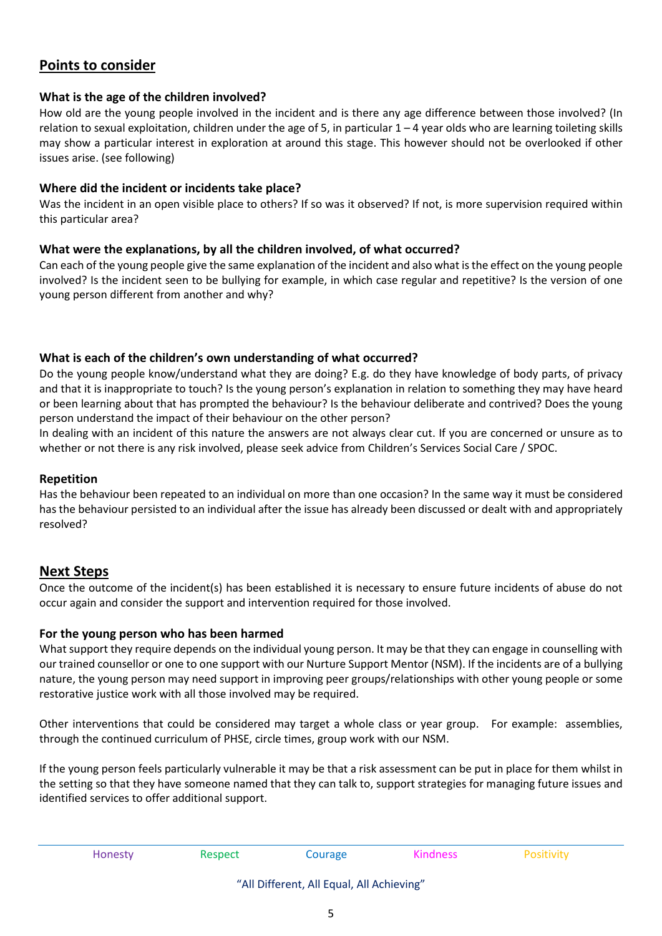# **Points to consider**

#### **What is the age of the children involved?**

How old are the young people involved in the incident and is there any age difference between those involved? (In relation to sexual exploitation, children under the age of 5, in particular  $1 - 4$  year olds who are learning toileting skills may show a particular interest in exploration at around this stage. This however should not be overlooked if other issues arise. (see following)

#### **Where did the incident or incidents take place?**

Was the incident in an open visible place to others? If so was it observed? If not, is more supervision required within this particular area?

#### **What were the explanations, by all the children involved, of what occurred?**

Can each of the young people give the same explanation of the incident and also what isthe effect on the young people involved? Is the incident seen to be bullying for example, in which case regular and repetitive? Is the version of one young person different from another and why?

#### **What is each of the children's own understanding of what occurred?**

Do the young people know/understand what they are doing? E.g. do they have knowledge of body parts, of privacy and that it is inappropriate to touch? Is the young person's explanation in relation to something they may have heard or been learning about that has prompted the behaviour? Is the behaviour deliberate and contrived? Does the young person understand the impact of their behaviour on the other person?

In dealing with an incident of this nature the answers are not always clear cut. If you are concerned or unsure as to whether or not there is any risk involved, please seek advice from Children's Services Social Care / SPOC.

#### **Repetition**

Has the behaviour been repeated to an individual on more than one occasion? In the same way it must be considered has the behaviour persisted to an individual after the issue has already been discussed or dealt with and appropriately resolved?

#### **Next Steps**

Once the outcome of the incident(s) has been established it is necessary to ensure future incidents of abuse do not occur again and consider the support and intervention required for those involved.

#### **For the young person who has been harmed**

What support they require depends on the individual young person. It may be that they can engage in counselling with our trained counsellor or one to one support with our Nurture Support Mentor (NSM). If the incidents are of a bullying nature, the young person may need support in improving peer groups/relationships with other young people or some restorative justice work with all those involved may be required.

Other interventions that could be considered may target a whole class or year group. For example: assemblies, through the continued curriculum of PHSE, circle times, group work with our NSM.

If the young person feels particularly vulnerable it may be that a risk assessment can be put in place for them whilst in the setting so that they have someone named that they can talk to, support strategies for managing future issues and identified services to offer additional support.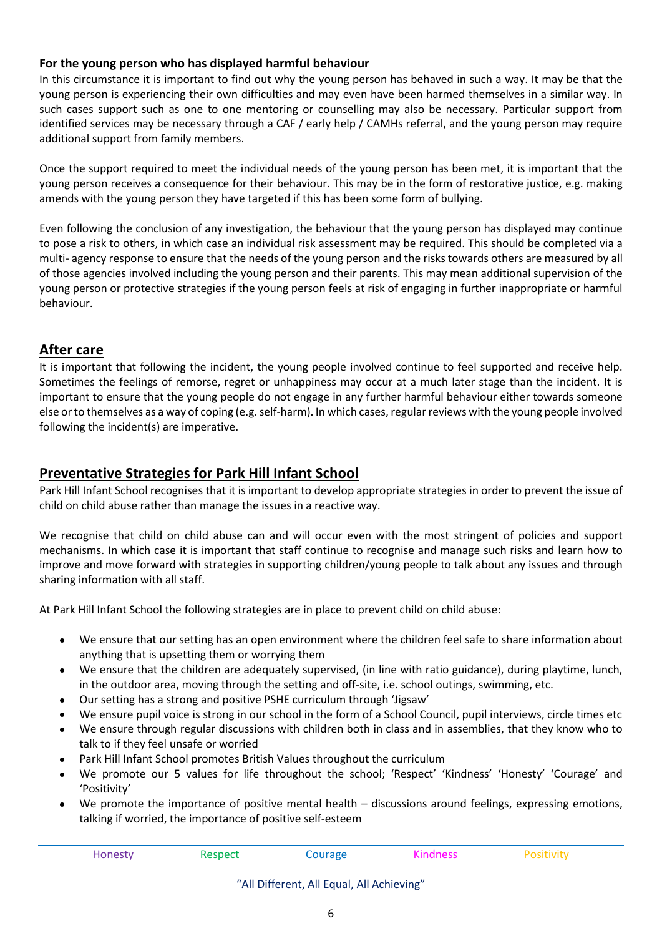#### **For the young person who has displayed harmful behaviour**

In this circumstance it is important to find out why the young person has behaved in such a way. It may be that the young person is experiencing their own difficulties and may even have been harmed themselves in a similar way. In such cases support such as one to one mentoring or counselling may also be necessary. Particular support from identified services may be necessary through a CAF / early help / CAMHs referral, and the young person may require additional support from family members.

Once the support required to meet the individual needs of the young person has been met, it is important that the young person receives a consequence for their behaviour. This may be in the form of restorative justice, e.g. making amends with the young person they have targeted if this has been some form of bullying.

Even following the conclusion of any investigation, the behaviour that the young person has displayed may continue to pose a risk to others, in which case an individual risk assessment may be required. This should be completed via a multi- agency response to ensure that the needs of the young person and the risks towards others are measured by all of those agencies involved including the young person and their parents. This may mean additional supervision of the young person or protective strategies if the young person feels at risk of engaging in further inappropriate or harmful behaviour.

# **After care**

It is important that following the incident, the young people involved continue to feel supported and receive help. Sometimes the feelings of remorse, regret or unhappiness may occur at a much later stage than the incident. It is important to ensure that the young people do not engage in any further harmful behaviour either towards someone else or to themselves as a way of coping (e.g. self-harm). In which cases, regular reviews with the young people involved following the incident(s) are imperative.

# **Preventative Strategies for Park Hill Infant School**

Park Hill Infant School recognises that it is important to develop appropriate strategies in order to prevent the issue of child on child abuse rather than manage the issues in a reactive way.

We recognise that child on child abuse can and will occur even with the most stringent of policies and support mechanisms. In which case it is important that staff continue to recognise and manage such risks and learn how to improve and move forward with strategies in supporting children/young people to talk about any issues and through sharing information with all staff.

At Park Hill Infant School the following strategies are in place to prevent child on child abuse:

- We ensure that our setting has an open environment where the children feel safe to share information about anything that is upsetting them or worrying them
- We ensure that the children are adequately supervised, (in line with ratio guidance), during playtime, lunch, in the outdoor area, moving through the setting and off-site, i.e. school outings, swimming, etc.
- Our setting has a strong and positive PSHE curriculum through 'Jigsaw'
- We ensure pupil voice is strong in our school in the form of a School Council, pupil interviews, circle times etc
- We ensure through regular discussions with children both in class and in assemblies, that they know who to talk to if they feel unsafe or worried
- Park Hill Infant School promotes British Values throughout the curriculum
- We promote our 5 values for life throughout the school; 'Respect' 'Kindness' 'Honesty' 'Courage' and 'Positivity'
- We promote the importance of positive mental health discussions around feelings, expressing emotions, talking if worried, the importance of positive self-esteem

| Honesty | Respect | Courage | Kindness | Positivity |
|---------|---------|---------|----------|------------|
|         |         |         |          |            |

#### "All Different, All Equal, All Achieving"